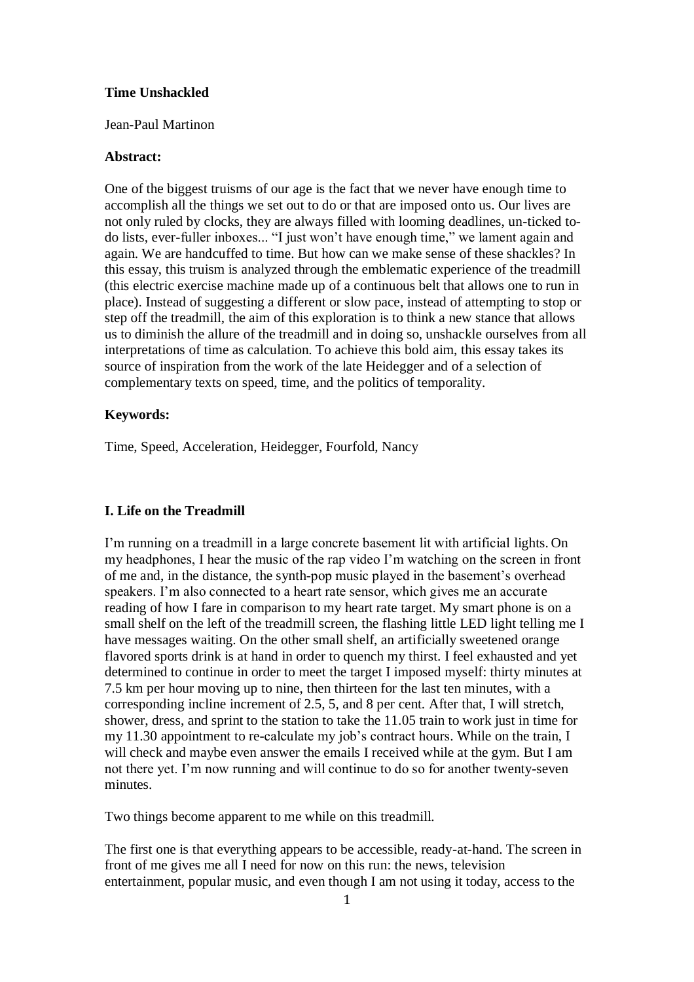#### **Time Unshackled**

#### Jean-Paul Martinon

#### **Abstract:**

One of the biggest truisms of our age is the fact that we never have enough time to accomplish all the things we set out to do or that are imposed onto us. Our lives are not only ruled by clocks, they are always filled with looming deadlines, un-ticked todo lists, ever-fuller inboxes... "I just won't have enough time," we lament again and again. We are handcuffed to time. But how can we make sense of these shackles? In this essay, this truism is analyzed through the emblematic experience of the treadmill (this electric exercise machine made up of a continuous belt that allows one to run in place). Instead of suggesting a different or slow pace, instead of attempting to stop or step off the treadmill, the aim of this exploration is to think a new stance that allows us to diminish the allure of the treadmill and in doing so, unshackle ourselves from all interpretations of time as calculation. To achieve this bold aim, this essay takes its source of inspiration from the work of the late Heidegger and of a selection of complementary texts on speed, time, and the politics of temporality.

## **Keywords:**

Time, Speed, Acceleration, Heidegger, Fourfold, Nancy

### **I. Life on the Treadmill**

I'm running on a treadmill in a large concrete basement lit with artificial lights. On my headphones, I hear the music of the rap video I'm watching on the screen in front of me and, in the distance, the synth-pop music played in the basement's overhead speakers. I'm also connected to a heart rate sensor, which gives me an accurate reading of how I fare in comparison to my heart rate target. My smart phone is on a small shelf on the left of the treadmill screen, the flashing little LED light telling me I have messages waiting. On the other small shelf, an artificially sweetened orange flavored sports drink is at hand in order to quench my thirst. I feel exhausted and yet determined to continue in order to meet the target I imposed myself: thirty minutes at 7.5 km per hour moving up to nine, then thirteen for the last ten minutes, with a corresponding incline increment of 2.5, 5, and 8 per cent. After that, I will stretch, shower, dress, and sprint to the station to take the 11.05 train to work just in time for my 11.30 appointment to re-calculate my job's contract hours. While on the train, I will check and maybe even answer the emails I received while at the gym. But I am not there yet. I'm now running and will continue to do so for another twenty-seven minutes.

Two things become apparent to me while on this treadmill.

The first one is that everything appears to be accessible, ready-at-hand. The screen in front of me gives me all I need for now on this run: the news, television entertainment, popular music, and even though I am not using it today, access to the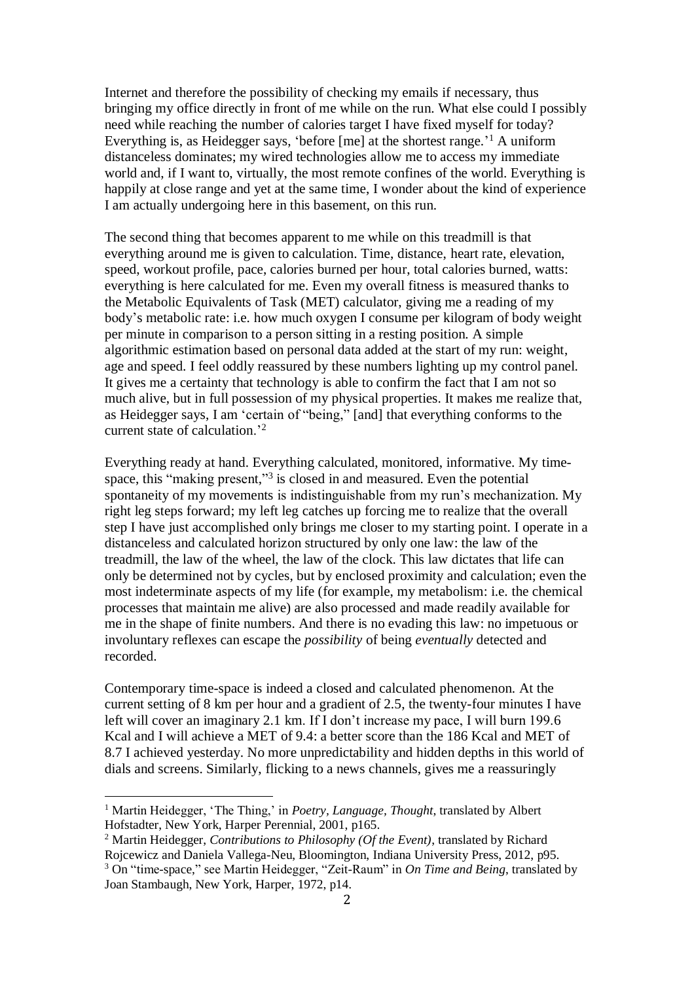Internet and therefore the possibility of checking my emails if necessary, thus bringing my office directly in front of me while on the run. What else could I possibly need while reaching the number of calories target I have fixed myself for today? Everything is, as Heidegger says, 'before [me] at the shortest range.<sup>'1</sup> A uniform distanceless dominates; my wired technologies allow me to access my immediate world and, if I want to, virtually, the most remote confines of the world. Everything is happily at close range and yet at the same time, I wonder about the kind of experience I am actually undergoing here in this basement, on this run.

The second thing that becomes apparent to me while on this treadmill is that everything around me is given to calculation. Time, distance, heart rate, elevation, speed, workout profile, pace, calories burned per hour, total calories burned, watts: everything is here calculated for me. Even my overall fitness is measured thanks to the Metabolic Equivalents of Task (MET) calculator, giving me a reading of my body's metabolic rate: i.e. how much oxygen I consume per kilogram of body weight per minute in comparison to a person sitting in a resting position. A simple algorithmic estimation based on personal data added at the start of my run: weight, age and speed. I feel oddly reassured by these numbers lighting up my control panel. It gives me a certainty that technology is able to confirm the fact that I am not so much alive, but in full possession of my physical properties. It makes me realize that, as Heidegger says, I am 'certain of "being," [and] that everything conforms to the current state of calculation.'<sup>2</sup>

Everything ready at hand. Everything calculated, monitored, informative. My timespace, this "making present,"<sup>3</sup> is closed in and measured. Even the potential spontaneity of my movements is indistinguishable from my run's mechanization. My right leg steps forward; my left leg catches up forcing me to realize that the overall step I have just accomplished only brings me closer to my starting point. I operate in a distanceless and calculated horizon structured by only one law: the law of the treadmill, the law of the wheel, the law of the clock. This law dictates that life can only be determined not by cycles, but by enclosed proximity and calculation; even the most indeterminate aspects of my life (for example, my metabolism: i.e. the chemical processes that maintain me alive) are also processed and made readily available for me in the shape of finite numbers. And there is no evading this law: no impetuous or involuntary reflexes can escape the *possibility* of being *eventually* detected and recorded.

Contemporary time-space is indeed a closed and calculated phenomenon. At the current setting of 8 km per hour and a gradient of 2.5, the twenty-four minutes I have left will cover an imaginary 2.1 km. If I don't increase my pace, I will burn 199.6 Kcal and I will achieve a MET of 9.4: a better score than the 186 Kcal and MET of 8.7 I achieved yesterday. No more unpredictability and hidden depths in this world of dials and screens. Similarly, flicking to a news channels, gives me a reassuringly

<sup>&</sup>lt;sup>1</sup> Martin Heidegger, 'The Thing,' in *Poetry, Language, Thought*, translated by Albert Hofstadter, New York, Harper Perennial, 2001, p165.

<sup>2</sup> Martin Heidegger, *Contributions to Philosophy (Of the Event)*, translated by Richard Rojcewicz and Daniela Vallega-Neu, Bloomington, Indiana University Press, 2012, p95.

<sup>3</sup> On "time-space," see Martin Heidegger, "Zeit-Raum" in *On Time and Being*, translated by Joan Stambaugh, New York, Harper, 1972, p14.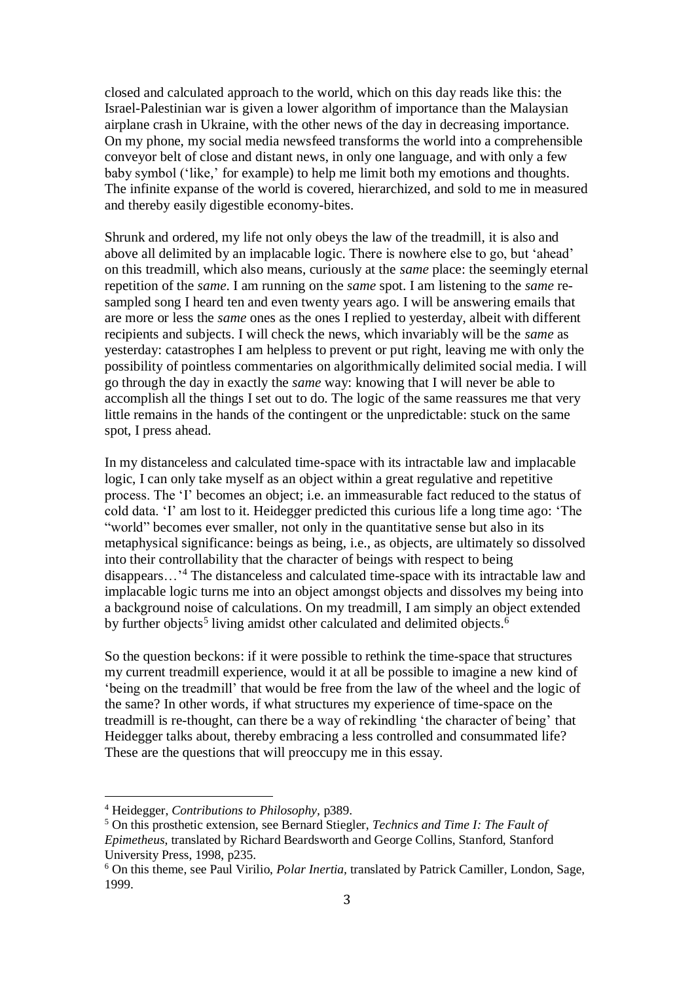closed and calculated approach to the world, which on this day reads like this: the Israel-Palestinian war is given a lower algorithm of importance than the Malaysian airplane crash in Ukraine, with the other news of the day in decreasing importance. On my phone, my social media newsfeed transforms the world into a comprehensible conveyor belt of close and distant news, in only one language, and with only a few baby symbol ('like,' for example) to help me limit both my emotions and thoughts. The infinite expanse of the world is covered, hierarchized, and sold to me in measured and thereby easily digestible economy-bites.

Shrunk and ordered, my life not only obeys the law of the treadmill, it is also and above all delimited by an implacable logic. There is nowhere else to go, but 'ahead' on this treadmill, which also means, curiously at the *same* place: the seemingly eternal repetition of the *same*. I am running on the *same* spot. I am listening to the *same* resampled song I heard ten and even twenty years ago. I will be answering emails that are more or less the *same* ones as the ones I replied to yesterday, albeit with different recipients and subjects. I will check the news, which invariably will be the *same* as yesterday: catastrophes I am helpless to prevent or put right, leaving me with only the possibility of pointless commentaries on algorithmically delimited social media. I will go through the day in exactly the *same* way: knowing that I will never be able to accomplish all the things I set out to do. The logic of the same reassures me that very little remains in the hands of the contingent or the unpredictable: stuck on the same spot, I press ahead.

In my distanceless and calculated time-space with its intractable law and implacable logic, I can only take myself as an object within a great regulative and repetitive process. The 'I' becomes an object; i.e. an immeasurable fact reduced to the status of cold data. 'I' am lost to it. Heidegger predicted this curious life a long time ago: 'The "world" becomes ever smaller, not only in the quantitative sense but also in its metaphysical significance: beings as being, i.e., as objects, are ultimately so dissolved into their controllability that the character of beings with respect to being disappears…' <sup>4</sup> The distanceless and calculated time-space with its intractable law and implacable logic turns me into an object amongst objects and dissolves my being into a background noise of calculations. On my treadmill, I am simply an object extended by further objects<sup>5</sup> living amidst other calculated and delimited objects.<sup>6</sup>

So the question beckons: if it were possible to rethink the time-space that structures my current treadmill experience, would it at all be possible to imagine a new kind of 'being on the treadmill' that would be free from the law of the wheel and the logic of the same? In other words, if what structures my experience of time-space on the treadmill is re-thought, can there be a way of rekindling 'the character of being' that Heidegger talks about, thereby embracing a less controlled and consummated life? These are the questions that will preoccupy me in this essay.

<sup>4</sup> Heidegger, *Contributions to Philosophy,* p389.

<sup>5</sup> On this prosthetic extension, see Bernard Stiegler, *Technics and Time I: The Fault of Epimetheus*, translated by Richard Beardsworth and George Collins, Stanford, Stanford University Press, 1998, p235.

<sup>6</sup> On this theme, see Paul Virilio, *Polar Inertia,* translated by Patrick Camiller*,* London, Sage, 1999.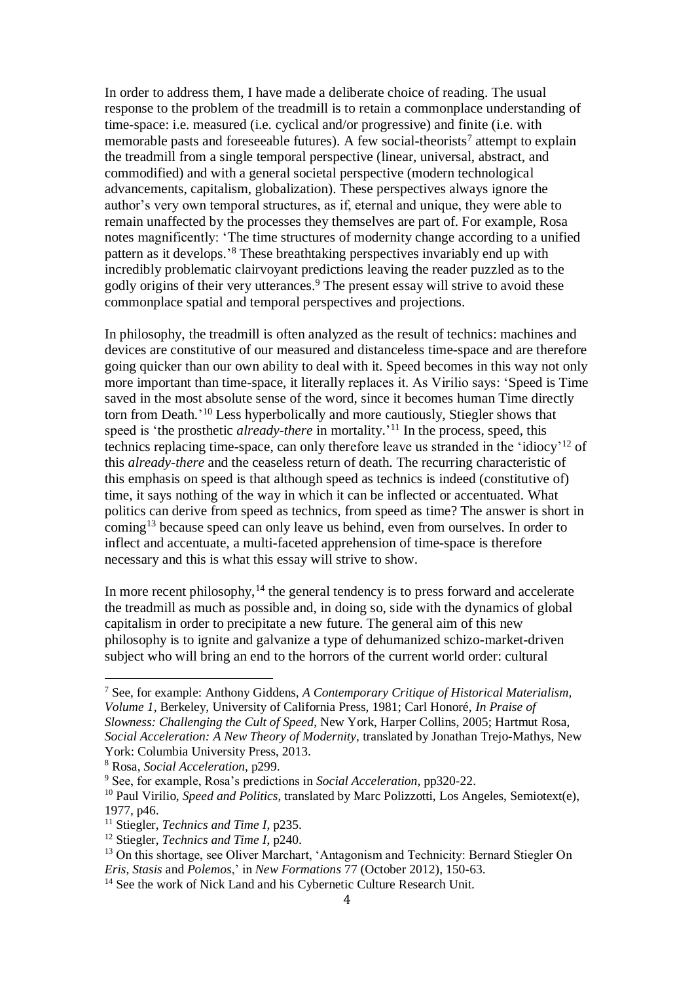In order to address them, I have made a deliberate choice of reading. The usual response to the problem of the treadmill is to retain a commonplace understanding of time-space: i.e. measured (i.e. cyclical and/or progressive) and finite (i.e. with memorable pasts and foreseeable futures). A few social-theorists<sup>7</sup> attempt to explain the treadmill from a single temporal perspective (linear, universal, abstract, and commodified) and with a general societal perspective (modern technological advancements, capitalism, globalization). These perspectives always ignore the author's very own temporal structures, as if, eternal and unique, they were able to remain unaffected by the processes they themselves are part of. For example, Rosa notes magnificently: 'The time structures of modernity change according to a unified pattern as it develops.' <sup>8</sup> These breathtaking perspectives invariably end up with incredibly problematic clairvoyant predictions leaving the reader puzzled as to the godly origins of their very utterances.<sup>9</sup> The present essay will strive to avoid these commonplace spatial and temporal perspectives and projections.

In philosophy, the treadmill is often analyzed as the result of technics: machines and devices are constitutive of our measured and distanceless time-space and are therefore going quicker than our own ability to deal with it. Speed becomes in this way not only more important than time-space, it literally replaces it. As Virilio says: 'Speed is Time saved in the most absolute sense of the word, since it becomes human Time directly torn from Death.' <sup>10</sup> Less hyperbolically and more cautiously, Stiegler shows that speed is 'the prosthetic *already-there* in mortality.<sup>'11</sup> In the process, speed, this technics replacing time-space, can only therefore leave us stranded in the 'idiocy' <sup>12</sup> of this *already-there* and the ceaseless return of death. The recurring characteristic of this emphasis on speed is that although speed as technics is indeed (constitutive of) time, it says nothing of the way in which it can be inflected or accentuated. What politics can derive from speed as technics, from speed as time? The answer is short in coming<sup>13</sup> because speed can only leave us behind, even from ourselves. In order to inflect and accentuate, a multi-faceted apprehension of time-space is therefore necessary and this is what this essay will strive to show.

In more recent philosophy, $14$  the general tendency is to press forward and accelerate the treadmill as much as possible and, in doing so, side with the dynamics of global capitalism in order to precipitate a new future. The general aim of this new philosophy is to ignite and galvanize a type of dehumanized schizo-market-driven subject who will bring an end to the horrors of the current world order: cultural

l

<sup>7</sup> See, for example: Anthony Giddens, *A Contemporary Critique of Historical Materialism, Volume 1*, Berkeley, University of California Press, 1981; Carl Honoré, *In Praise of Slowness: Challenging the Cult of Speed*, New York, Harper Collins, 2005; Hartmut Rosa, *Social Acceleration: A New Theory of Modernity,* translated by Jonathan Trejo-Mathys*,* New York: Columbia University Press, 2013.

<sup>8</sup> Rosa, *Social Acceleration,* p299.

<sup>9</sup> See, for example, Rosa's predictions in *Social Acceleration,* pp320-22.

<sup>&</sup>lt;sup>10</sup> Paul Virilio, *Speed and Politics*, translated by Marc Polizzotti, Los Angeles, Semiotext(e), 1977, p46.

<sup>11</sup> Stiegler, *Technics and Time I*, p235.

<sup>12</sup> Stiegler, *Technics and Time I*, p240.

<sup>&</sup>lt;sup>13</sup> On this shortage, see Oliver Marchart, 'Antagonism and Technicity: Bernard Stiegler On *Eris, Stasis* and *Polemos*,' in *New Formations* 77 (October 2012), 150-63.

<sup>&</sup>lt;sup>14</sup> See the work of Nick Land and his Cybernetic Culture Research Unit.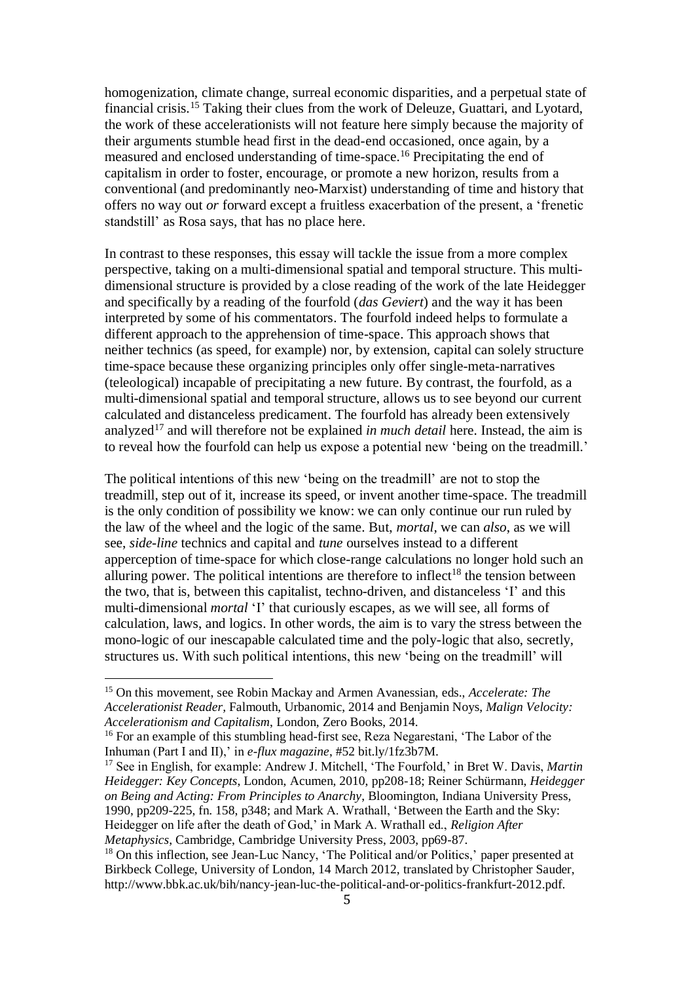homogenization, climate change, surreal economic disparities, and a perpetual state of financial crisis.<sup>15</sup> Taking their clues from the work of Deleuze, Guattari, and Lyotard, the work of these accelerationists will not feature here simply because the majority of their arguments stumble head first in the dead-end occasioned, once again, by a measured and enclosed understanding of time-space. <sup>16</sup> Precipitating the end of capitalism in order to foster, encourage, or promote a new horizon, results from a conventional (and predominantly neo-Marxist) understanding of time and history that offers no way out *or* forward except a fruitless exacerbation of the present, a 'frenetic standstill' as Rosa says, that has no place here.

In contrast to these responses, this essay will tackle the issue from a more complex perspective, taking on a multi-dimensional spatial and temporal structure. This multidimensional structure is provided by a close reading of the work of the late Heidegger and specifically by a reading of the fourfold (*das Geviert*) and the way it has been interpreted by some of his commentators. The fourfold indeed helps to formulate a different approach to the apprehension of time-space. This approach shows that neither technics (as speed, for example) nor, by extension, capital can solely structure time-space because these organizing principles only offer single-meta-narratives (teleological) incapable of precipitating a new future. By contrast, the fourfold, as a multi-dimensional spatial and temporal structure, allows us to see beyond our current calculated and distanceless predicament. The fourfold has already been extensively analyzed<sup>17</sup> and will therefore not be explained *in much detail* here. Instead, the aim is to reveal how the fourfold can help us expose a potential new 'being on the treadmill.'

The political intentions of this new 'being on the treadmill' are not to stop the treadmill, step out of it, increase its speed, or invent another time-space. The treadmill is the only condition of possibility we know: we can only continue our run ruled by the law of the wheel and the logic of the same. But, *mortal,* we can *also*, as we will see, *side-line* technics and capital and *tune* ourselves instead to a different apperception of time-space for which close-range calculations no longer hold such an alluring power. The political intentions are therefore to inflect<sup>18</sup> the tension between the two, that is, between this capitalist, techno-driven, and distanceless 'I' and this multi-dimensional *mortal* 'I' that curiously escapes, as we will see, all forms of calculation, laws, and logics. In other words, the aim is to vary the stress between the mono-logic of our inescapable calculated time and the poly-logic that also, secretly, structures us. With such political intentions, this new 'being on the treadmill' will

l

<sup>17</sup> See in English, for example: Andrew J. Mitchell, 'The Fourfold,' in Bret W. Davis, *Martin Heidegger: Key Concepts*, London, Acumen, 2010, pp208-18; Reiner Schürmann, *Heidegger on Being and Acting: From Principles to Anarchy*, Bloomington, Indiana University Press, 1990, pp209-225, fn. 158, p348; and Mark A. Wrathall, 'Between the Earth and the Sky: Heidegger on life after the death of God,' in Mark A. Wrathall ed., *Religion After Metaphysics*, Cambridge, Cambridge University Press, 2003, pp69-87.

<sup>15</sup> On this movement, see Robin Mackay and Armen Avanessian, eds., *Accelerate: The Accelerationist Reader,* Falmouth, Urbanomic, 2014 and Benjamin Noys, *Malign Velocity: Accelerationism and Capitalism*, London, Zero Books, 2014.

<sup>&</sup>lt;sup>16</sup> For an example of this stumbling head-first see, Reza Negarestani, 'The Labor of the Inhuman (Part I and II),' in *e-flux magazine*, #52 bit.ly/1fz3b7M.

<sup>&</sup>lt;sup>18</sup> On this inflection, see Jean-Luc Nancy, 'The Political and/or Politics,' paper presented at Birkbeck College, University of London, 14 March 2012, translated by Christopher Sauder, http://www.bbk.ac.uk/bih/nancy-jean-luc-the-political-and-or-politics-frankfurt-2012.pdf.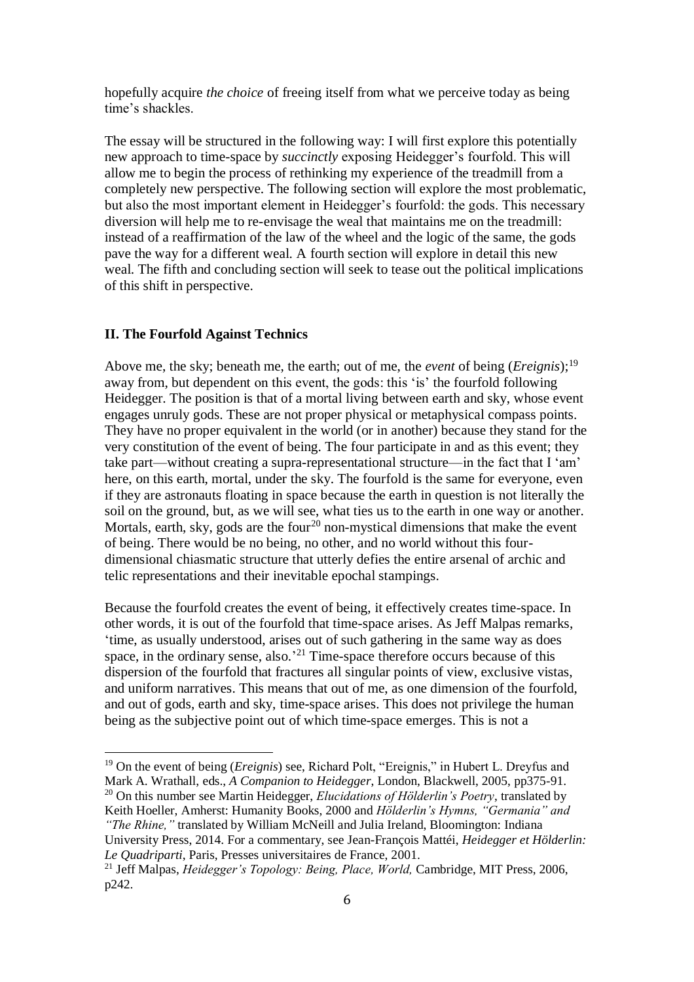hopefully acquire *the choice* of freeing itself from what we perceive today as being time's shackles.

The essay will be structured in the following way: I will first explore this potentially new approach to time-space by *succinctly* exposing Heidegger's fourfold. This will allow me to begin the process of rethinking my experience of the treadmill from a completely new perspective. The following section will explore the most problematic, but also the most important element in Heidegger's fourfold: the gods. This necessary diversion will help me to re-envisage the weal that maintains me on the treadmill: instead of a reaffirmation of the law of the wheel and the logic of the same, the gods pave the way for a different weal. A fourth section will explore in detail this new weal. The fifth and concluding section will seek to tease out the political implications of this shift in perspective.

## **II. The Fourfold Against Technics**

 $\overline{a}$ 

Above me, the sky; beneath me, the earth; out of me, the *event* of being (*Ereignis*); 19 away from, but dependent on this event, the gods: this 'is' the fourfold following Heidegger. The position is that of a mortal living between earth and sky, whose event engages unruly gods. These are not proper physical or metaphysical compass points. They have no proper equivalent in the world (or in another) because they stand for the very constitution of the event of being. The four participate in and as this event; they take part—without creating a supra-representational structure—in the fact that I 'am' here, on this earth, mortal, under the sky. The fourfold is the same for everyone, even if they are astronauts floating in space because the earth in question is not literally the soil on the ground, but, as we will see, what ties us to the earth in one way or another. Mortals, earth, sky, gods are the four<sup>20</sup> non-mystical dimensions that make the event of being. There would be no being, no other, and no world without this fourdimensional chiasmatic structure that utterly defies the entire arsenal of archic and telic representations and their inevitable epochal stampings.

Because the fourfold creates the event of being, it effectively creates time-space. In other words, it is out of the fourfold that time-space arises. As Jeff Malpas remarks, 'time, as usually understood, arises out of such gathering in the same way as does space, in the ordinary sense, also.<sup>21</sup> Time-space therefore occurs because of this dispersion of the fourfold that fractures all singular points of view, exclusive vistas, and uniform narratives. This means that out of me, as one dimension of the fourfold, and out of gods, earth and sky, time-space arises. This does not privilege the human being as the subjective point out of which time-space emerges. This is not a

<sup>19</sup> On the event of being (*Ereignis*) see, Richard Polt, "Ereignis," in Hubert L. Dreyfus and Mark A. Wrathall, eds., *A Companion to Heidegger*, London, Blackwell, 2005, pp375-91. <sup>20</sup> On this number see Martin Heidegger, *Elucidations of Hölderlin's Poetry*, translated by Keith Hoeller, Amherst: Humanity Books, 2000 and *Hölderlin's Hymns, "Germania" and "The Rhine,"* translated by William McNeill and Julia Ireland, Bloomington: Indiana

University Press, 2014. For a commentary, see Jean-François Mattéi, *Heidegger et Hölderlin: Le Quadriparti*, Paris, Presses universitaires de France, 2001.

<sup>21</sup> Jeff Malpas, *Heidegger's Topology: Being, Place, World,* Cambridge, MIT Press, 2006, p242.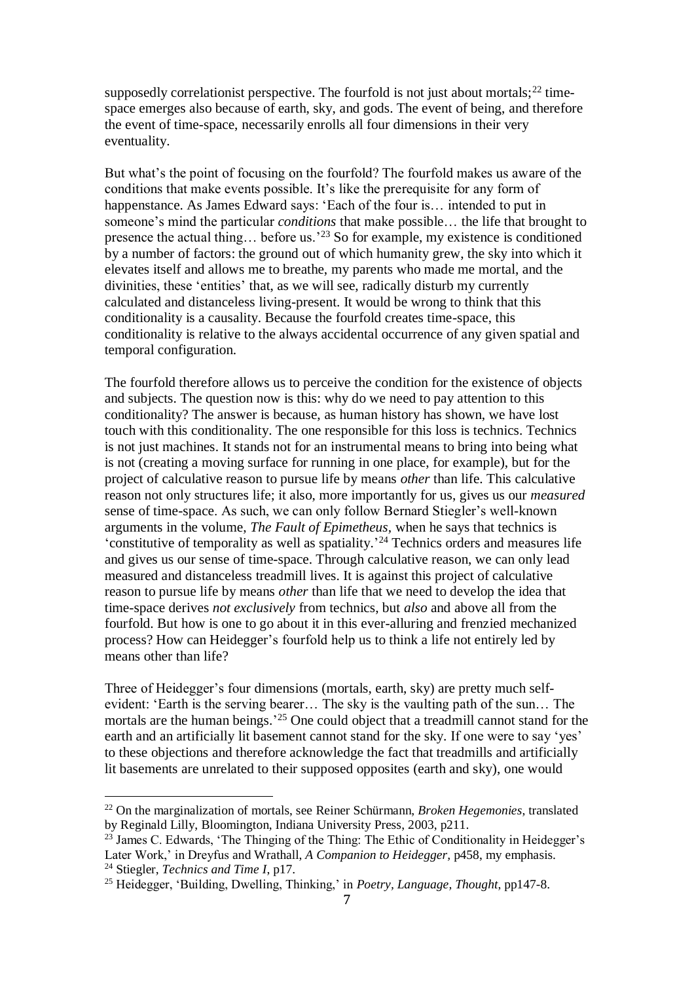supposedly correlationist perspective. The fourfold is not just about mortals; $^{22}$  timespace emerges also because of earth, sky, and gods. The event of being, and therefore the event of time-space, necessarily enrolls all four dimensions in their very eventuality.

But what's the point of focusing on the fourfold? The fourfold makes us aware of the conditions that make events possible. It's like the prerequisite for any form of happenstance. As James Edward says: 'Each of the four is... intended to put in someone's mind the particular *conditions* that make possible… the life that brought to presence the actual thing... before us.<sup>23</sup> So for example, my existence is conditioned by a number of factors: the ground out of which humanity grew, the sky into which it elevates itself and allows me to breathe, my parents who made me mortal, and the divinities, these 'entities' that, as we will see, radically disturb my currently calculated and distanceless living-present. It would be wrong to think that this conditionality is a causality. Because the fourfold creates time-space, this conditionality is relative to the always accidental occurrence of any given spatial and temporal configuration.

The fourfold therefore allows us to perceive the condition for the existence of objects and subjects. The question now is this: why do we need to pay attention to this conditionality? The answer is because, as human history has shown, we have lost touch with this conditionality. The one responsible for this loss is technics. Technics is not just machines. It stands not for an instrumental means to bring into being what is not (creating a moving surface for running in one place, for example), but for the project of calculative reason to pursue life by means *other* than life. This calculative reason not only structures life; it also, more importantly for us, gives us our *measured*  sense of time-space. As such, we can only follow Bernard Stiegler's well-known arguments in the volume, *The Fault of Epimetheus,* when he says that technics is 'constitutive of temporality as well as spatiality.' <sup>24</sup> Technics orders and measures life and gives us our sense of time-space. Through calculative reason, we can only lead measured and distanceless treadmill lives. It is against this project of calculative reason to pursue life by means *other* than life that we need to develop the idea that time-space derives *not exclusively* from technics, but *also* and above all from the fourfold. But how is one to go about it in this ever-alluring and frenzied mechanized process? How can Heidegger's fourfold help us to think a life not entirely led by means other than life?

Three of Heidegger's four dimensions (mortals, earth, sky) are pretty much selfevident: 'Earth is the serving bearer… The sky is the vaulting path of the sun… The mortals are the human beings.<sup>25</sup> One could object that a treadmill cannot stand for the earth and an artificially lit basement cannot stand for the sky. If one were to say 'yes' to these objections and therefore acknowledge the fact that treadmills and artificially lit basements are unrelated to their supposed opposites (earth and sky), one would

<sup>22</sup> On the marginalization of mortals, see Reiner Schürmann, *Broken Hegemonies*, translated by Reginald Lilly, Bloomington, Indiana University Press, 2003, p211.

 $^{23}$  James C. Edwards, 'The Thinging of the Thing: The Ethic of Conditionality in Heidegger's Later Work,' in Dreyfus and Wrathall, *A Companion to Heidegger,* p458, my emphasis. <sup>24</sup> Stiegler, *Technics and Time I*, p17.

<sup>25</sup> Heidegger, 'Building, Dwelling, Thinking,' in *Poetry, Language, Thought*, pp147-8.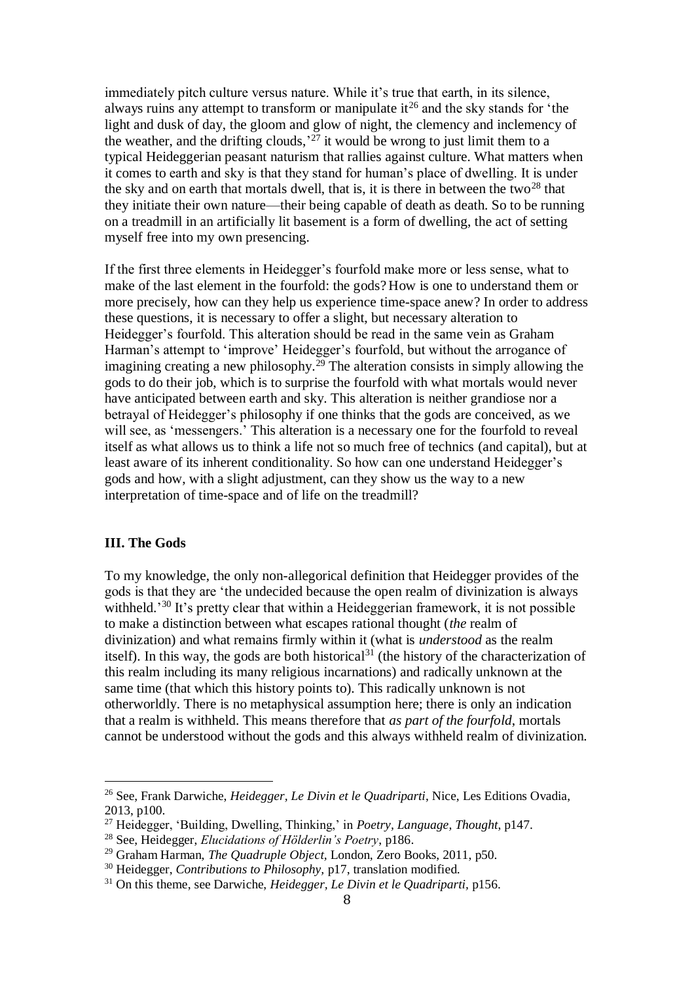immediately pitch culture versus nature. While it's true that earth, in its silence, always ruins any attempt to transform or manipulate  $it^{26}$  and the sky stands for 'the light and dusk of day, the gloom and glow of night, the clemency and inclemency of the weather, and the drifting clouds,<sup>27</sup> it would be wrong to just limit them to a typical Heideggerian peasant naturism that rallies against culture. What matters when it comes to earth and sky is that they stand for human's place of dwelling. It is under the sky and on earth that mortals dwell, that is, it is there in between the two<sup>28</sup> that they initiate their own nature—their being capable of death as death. So to be running on a treadmill in an artificially lit basement is a form of dwelling, the act of setting myself free into my own presencing.

If the first three elements in Heidegger's fourfold make more or less sense, what to make of the last element in the fourfold: the gods?How is one to understand them or more precisely, how can they help us experience time-space anew? In order to address these questions, it is necessary to offer a slight, but necessary alteration to Heidegger's fourfold. This alteration should be read in the same vein as Graham Harman's attempt to 'improve' Heidegger's fourfold, but without the arrogance of imagining creating a new philosophy.<sup>29</sup> The alteration consists in simply allowing the gods to do their job, which is to surprise the fourfold with what mortals would never have anticipated between earth and sky. This alteration is neither grandiose nor a betrayal of Heidegger's philosophy if one thinks that the gods are conceived, as we will see, as 'messengers.' This alteration is a necessary one for the fourfold to reveal itself as what allows us to think a life not so much free of technics (and capital), but at least aware of its inherent conditionality. So how can one understand Heidegger's gods and how, with a slight adjustment, can they show us the way to a new interpretation of time-space and of life on the treadmill?

# **III. The Gods**

 $\overline{a}$ 

To my knowledge, the only non-allegorical definition that Heidegger provides of the gods is that they are 'the undecided because the open realm of divinization is always withheld.<sup>30</sup> It's pretty clear that within a Heideggerian framework, it is not possible to make a distinction between what escapes rational thought (*the* realm of divinization) and what remains firmly within it (what is *understood* as the realm itself). In this way, the gods are both historical<sup>31</sup> (the history of the characterization of this realm including its many religious incarnations) and radically unknown at the same time (that which this history points to). This radically unknown is not otherworldly. There is no metaphysical assumption here; there is only an indication that a realm is withheld. This means therefore that *as part of the fourfold*, mortals cannot be understood without the gods and this always withheld realm of divinization.

<sup>26</sup> See, Frank Darwiche, *Heidegger, Le Divin et le Quadriparti*, Nice, Les Editions Ovadia, 2013, p100.

<sup>27</sup> Heidegger, 'Building, Dwelling, Thinking,' in *Poetry, Language, Thought*, p147.

<sup>28</sup> See, Heidegger, *Elucidations of Hölderlin's Poetry*, p186.

<sup>29</sup> Graham Harman, *The Quadruple Object,* London, Zero Books, 2011, p50.

<sup>30</sup> Heidegger, *Contributions to Philosophy,* p17, translation modified.

<sup>31</sup> On this theme, see Darwiche, *Heidegger, Le Divin et le Quadriparti,* p156.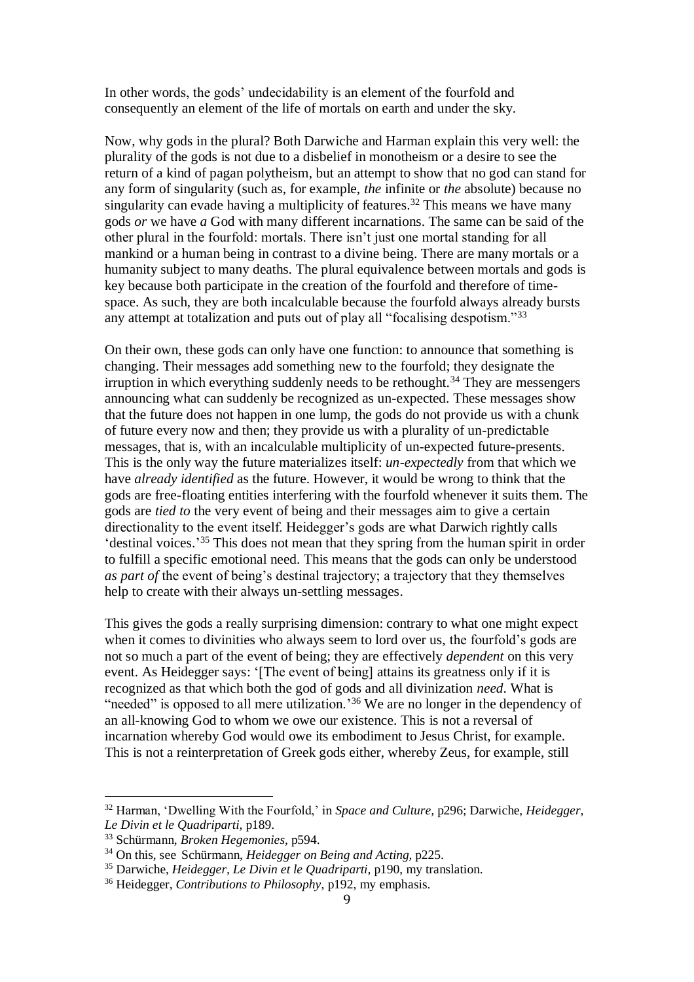In other words, the gods' undecidability is an element of the fourfold and consequently an element of the life of mortals on earth and under the sky.

Now, why gods in the plural? Both Darwiche and Harman explain this very well: the plurality of the gods is not due to a disbelief in monotheism or a desire to see the return of a kind of pagan polytheism, but an attempt to show that no god can stand for any form of singularity (such as, for example, *the* infinite or *the* absolute) because no singularity can evade having a multiplicity of features.<sup>32</sup> This means we have many gods *or* we have *a* God with many different incarnations. The same can be said of the other plural in the fourfold: mortals. There isn't just one mortal standing for all mankind or a human being in contrast to a divine being. There are many mortals or a humanity subject to many deaths. The plural equivalence between mortals and gods is key because both participate in the creation of the fourfold and therefore of timespace. As such, they are both incalculable because the fourfold always already bursts any attempt at totalization and puts out of play all "focalising despotism."<sup>33</sup>

On their own, these gods can only have one function: to announce that something is changing. Their messages add something new to the fourfold; they designate the irruption in which everything suddenly needs to be rethought.<sup>34</sup> They are messengers announcing what can suddenly be recognized as un-expected. These messages show that the future does not happen in one lump, the gods do not provide us with a chunk of future every now and then; they provide us with a plurality of un-predictable messages, that is, with an incalculable multiplicity of un-expected future-presents. This is the only way the future materializes itself: *un-expectedly* from that which we have *already identified* as the future. However, it would be wrong to think that the gods are free-floating entities interfering with the fourfold whenever it suits them. The gods are *tied to* the very event of being and their messages aim to give a certain directionality to the event itself. Heidegger's gods are what Darwich rightly calls 'destinal voices.' <sup>35</sup> This does not mean that they spring from the human spirit in order to fulfill a specific emotional need. This means that the gods can only be understood *as part of* the event of being's destinal trajectory; a trajectory that they themselves help to create with their always un-settling messages.

This gives the gods a really surprising dimension: contrary to what one might expect when it comes to divinities who always seem to lord over us, the fourfold's gods are not so much a part of the event of being; they are effectively *dependent* on this very event. As Heidegger says: '[The event of being] attains its greatness only if it is recognized as that which both the god of gods and all divinization *need*. What is "needed" is opposed to all mere utilization.<sup>36</sup> We are no longer in the dependency of an all-knowing God to whom we owe our existence. This is not a reversal of incarnation whereby God would owe its embodiment to Jesus Christ, for example. This is not a reinterpretation of Greek gods either, whereby Zeus, for example, still

<sup>32</sup> Harman, 'Dwelling With the Fourfold,' in *Space and Culture,* p296; Darwiche, *Heidegger, Le Divin et le Quadriparti,* p189.

<sup>33</sup> Schürmann, *Broken Hegemonies,* p594.

<sup>34</sup> On this, see Schürmann, *Heidegger on Being and Acting,* p225.

<sup>35</sup> Darwiche, *Heidegger, Le Divin et le Quadriparti,* p190, my translation.

<sup>36</sup> Heidegger, *Contributions to Philosophy*, p192, my emphasis.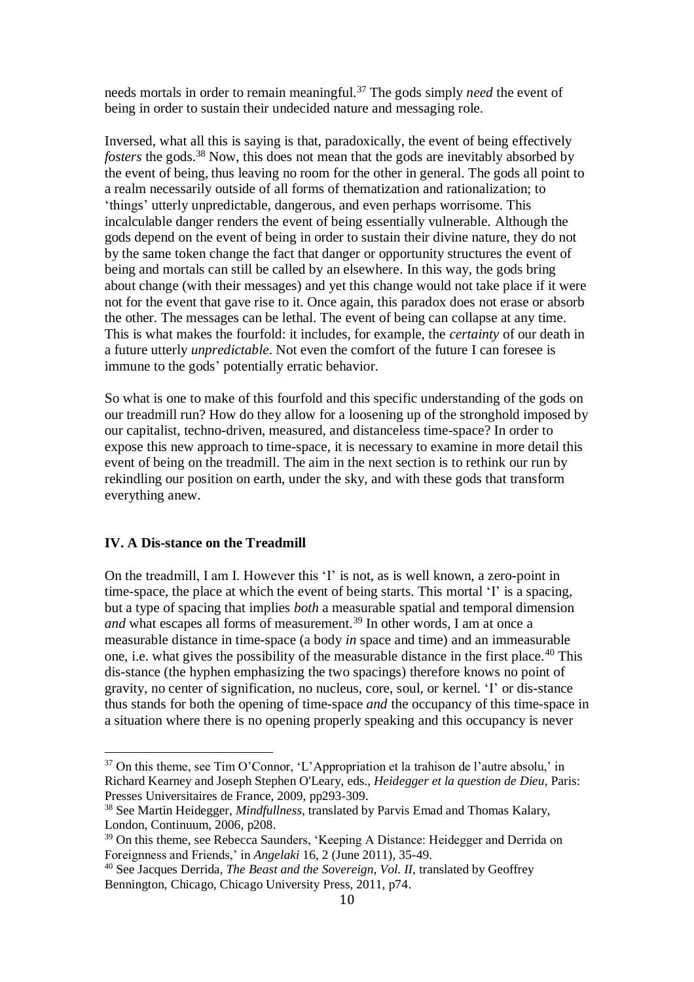needs mortals in order to remain meaningful.<sup>37</sup> The gods simply *need* the event of being in order to sustain their undecided nature and messaging role.

Inversed, what all this is saying is that, paradoxically, the event of being effectively *fosters* the gods.<sup>38</sup> Now, this does not mean that the gods are inevitably absorbed by the event of being, thus leaving no room for the other in general. The gods all point to a realm necessarily outside of all forms of thematization and rationalization; to 'things' utterly unpredictable, dangerous, and even perhaps worrisome. This incalculable danger renders the event of being essentially vulnerable. Although the gods depend on the event of being in order to sustain their divine nature, they do not by the same token change the fact that danger or opportunity structures the event of being and mortals can still be called by an elsewhere. In this way, the gods bring about change (with their messages) and yet this change would not take place if it were not for the event that gave rise to it. Once again, this paradox does not erase or absorb the other. The messages can be lethal. The event of being can collapse at any time. This is what makes the fourfold: it includes, for example, the *certainty* of our death in a future utterly *unpredictable*. Not even the comfort of the future I can foresee is immune to the gods' potentially erratic behavior.

So what is one to make of this fourfold and this specific understanding of the gods on our treadmill run? How do they allow for a loosening up of the stronghold imposed by our capitalist, techno-driven, measured, and distanceless time-space? In order to expose this new approach to time-space, it is necessary to examine in more detail this event of being on the treadmill. The aim in the next section is to rethink our run by rekindling our position on earth, under the sky, and with these gods that transform everything anew.

### **IV. A Dis-stance on the Treadmill**

 $\overline{a}$ 

On the treadmill, I am I. However this 'I' is not, as is well known, a zero-point in time-space, the place at which the event of being starts. This mortal 'I' is a spacing, but a type of spacing that implies *both* a measurable spatial and temporal dimension *and* what escapes all forms of measurement.<sup>39</sup> In other words, I am at once a measurable distance in time-space (a body *in* space and time) and an immeasurable one, i.e. what gives the possibility of the measurable distance in the first place.<sup>40</sup> This dis-stance (the hyphen emphasizing the two spacings) therefore knows no point of gravity, no center of signification, no nucleus, core, soul, or kernel. 'I' or dis-stance thus stands for both the opening of time-space *and* the occupancy of this time-space in a situation where there is no opening properly speaking and this occupancy is never

<sup>37</sup> On this theme, see Tim O'Connor, 'L'Appropriation et la trahison de l'autre absolu,' in Richard Kearney and Joseph Stephen O'Leary, eds., *Heidegger et la question de Dieu*, Paris: Presses Universitaires de France, 2009, pp293-309.

<sup>38</sup> See Martin Heidegger, *Mindfullness*, translated by Parvis Emad and Thomas Kalary, London, Continuum, 2006, p208.

<sup>&</sup>lt;sup>39</sup> On this theme, see Rebecca Saunders, 'Keeping A Distance: Heidegger and Derrida on Foreignness and Friends,' in *Angelaki* 16, 2 (June 2011), 35-49.

<sup>40</sup> See Jacques Derrida, *The Beast and the Sovereign, Vol. II,* translated by Geoffrey Bennington, Chicago, Chicago University Press, 2011, p74.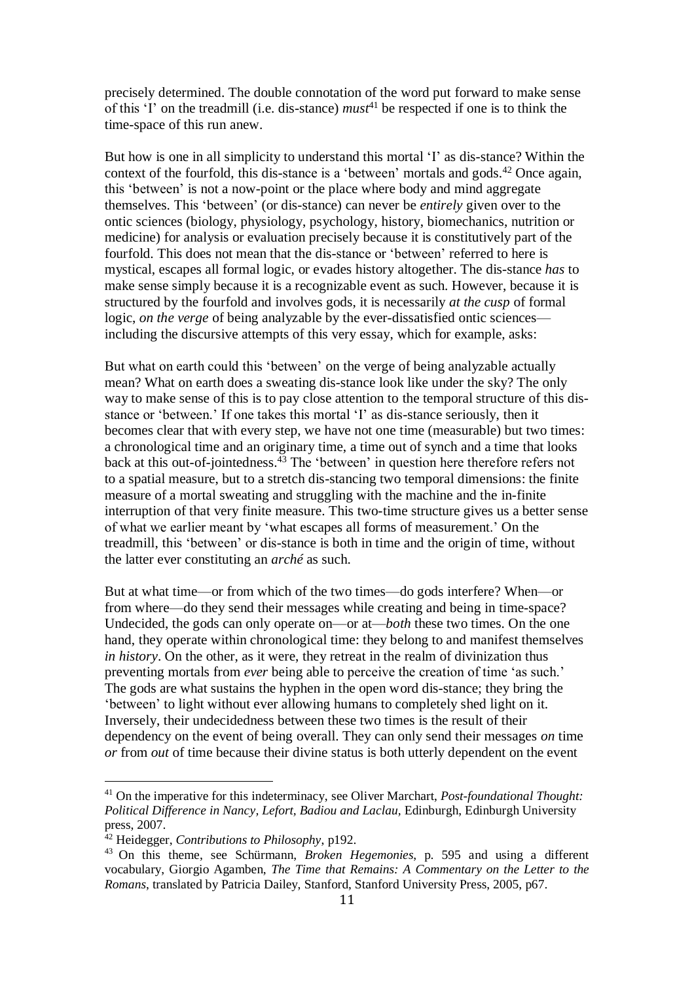precisely determined. The double connotation of the word put forward to make sense of this 'I' on the treadmill (i.e. dis-stance) *must*<sup>41</sup> be respected if one is to think the time-space of this run anew.

But how is one in all simplicity to understand this mortal 'I' as dis-stance? Within the context of the fourfold, this dis-stance is a 'between' mortals and gods. <sup>42</sup> Once again, this 'between' is not a now-point or the place where body and mind aggregate themselves. This 'between' (or dis-stance) can never be *entirely* given over to the ontic sciences (biology, physiology, psychology, history, biomechanics, nutrition or medicine) for analysis or evaluation precisely because it is constitutively part of the fourfold. This does not mean that the dis-stance or 'between' referred to here is mystical, escapes all formal logic, or evades history altogether. The dis-stance *has* to make sense simply because it is a recognizable event as such. However, because it is structured by the fourfold and involves gods, it is necessarily *at the cusp* of formal logic, *on the verge* of being analyzable by the ever-dissatisfied ontic sciences including the discursive attempts of this very essay, which for example, asks:

But what on earth could this 'between' on the verge of being analyzable actually mean? What on earth does a sweating dis-stance look like under the sky? The only way to make sense of this is to pay close attention to the temporal structure of this disstance or 'between.' If one takes this mortal 'I' as dis-stance seriously, then it becomes clear that with every step, we have not one time (measurable) but two times: a chronological time and an originary time, a time out of synch and a time that looks back at this out-of-jointedness.<sup>43</sup> The 'between' in question here therefore refers not to a spatial measure, but to a stretch dis-stancing two temporal dimensions: the finite measure of a mortal sweating and struggling with the machine and the in-finite interruption of that very finite measure. This two-time structure gives us a better sense of what we earlier meant by 'what escapes all forms of measurement.' On the treadmill, this 'between' or dis-stance is both in time and the origin of time, without the latter ever constituting an *arché* as such.

But at what time—or from which of the two times—do gods interfere? When—or from where—do they send their messages while creating and being in time-space? Undecided, the gods can only operate on—or at—*both* these two times. On the one hand, they operate within chronological time: they belong to and manifest themselves *in history*. On the other, as it were, they retreat in the realm of divinization thus preventing mortals from *ever* being able to perceive the creation of time 'as such.' The gods are what sustains the hyphen in the open word dis-stance; they bring the 'between' to light without ever allowing humans to completely shed light on it. Inversely, their undecidedness between these two times is the result of their dependency on the event of being overall. They can only send their messages *on* time *or* from *out* of time because their divine status is both utterly dependent on the event

<sup>41</sup> On the imperative for this indeterminacy, see Oliver Marchart, *Post-foundational Thought: Political Difference in Nancy, Lefort, Badiou and Laclau, Edinburgh, Edinburgh University* press, 2007.

<sup>42</sup> Heidegger, *Contributions to Philosophy*, p192.

<sup>43</sup> On this theme, see Schürmann, *Broken Hegemonies*, p. 595 and using a different vocabulary, Giorgio Agamben, *The Time that Remains: A Commentary on the Letter to the Romans*, translated by Patricia Dailey, Stanford, Stanford University Press, 2005, p67.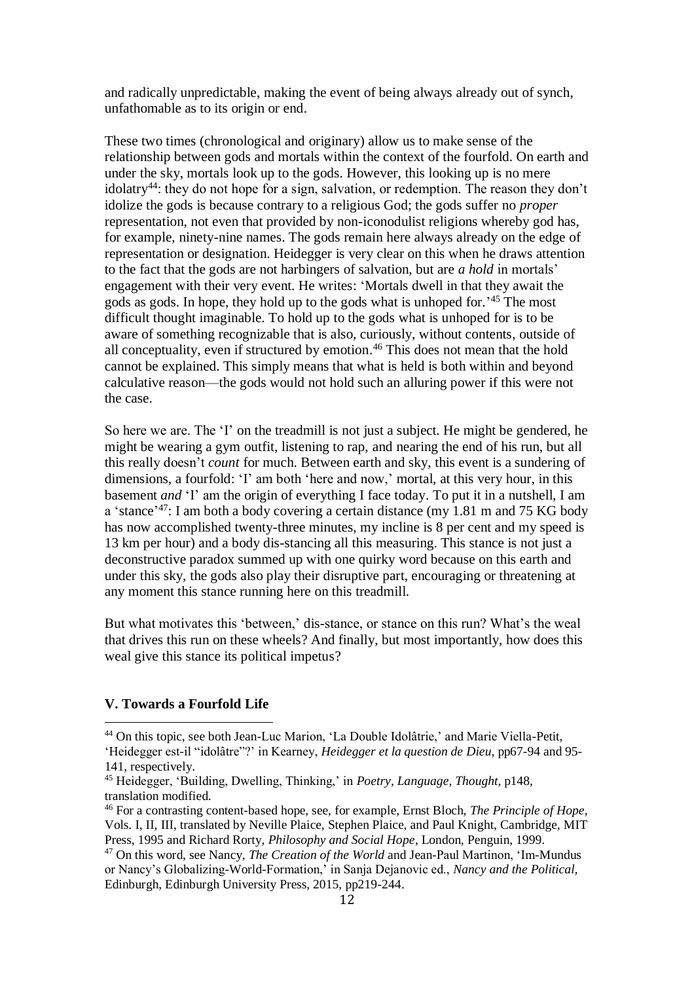and radically unpredictable, making the event of being always already out of synch, unfathomable as to its origin or end.

These two times (chronological and originary) allow us to make sense of the relationship between gods and mortals within the context of the fourfold. On earth and under the sky, mortals look up to the gods. However, this looking up is no mere idolatry<sup>44</sup>: they do not hope for a sign, salvation, or redemption. The reason they don't idolize the gods is because contrary to a religious God; the gods suffer no *proper*  representation, not even that provided by non-iconodulist religions whereby god has, for example, ninety-nine names. The gods remain here always already on the edge of representation or designation. Heidegger is very clear on this when he draws attention to the fact that the gods are not harbingers of salvation, but are *a hold* in mortals' engagement with their very event. He writes: 'Mortals dwell in that they await the gods as gods. In hope, they hold up to the gods what is unhoped for.' <sup>45</sup> The most difficult thought imaginable. To hold up to the gods what is unhoped for is to be aware of something recognizable that is also, curiously, without contents, outside of all conceptuality, even if structured by emotion. <sup>46</sup> This does not mean that the hold cannot be explained. This simply means that what is held is both within and beyond calculative reason—the gods would not hold such an alluring power if this were not the case.

So here we are. The 'I' on the treadmill is not just a subject. He might be gendered, he might be wearing a gym outfit, listening to rap, and nearing the end of his run, but all this really doesn't *count* for much. Between earth and sky, this event is a sundering of dimensions, a fourfold: 'I' am both 'here and now,' mortal, at this very hour, in this basement *and* 'I' am the origin of everything I face today. To put it in a nutshell, I am a 'stance'<sup>47</sup>: I am both a body covering a certain distance (my 1.81 m and 75 KG body has now accomplished twenty-three minutes, my incline is 8 per cent and my speed is 13 km per hour) and a body dis-stancing all this measuring. This stance is not just a deconstructive paradox summed up with one quirky word because on this earth and under this sky, the gods also play their disruptive part, encouraging or threatening at any moment this stance running here on this treadmill.

But what motivates this 'between,' dis-stance, or stance on this run? What's the weal that drives this run on these wheels? And finally, but most importantly, how does this weal give this stance its political impetus?

### **V. Towards a Fourfold Life**

<sup>44</sup> On this topic, see both Jean-Luc Marion, 'La Double Idolâtrie,' and Marie Viella-Petit, 'Heidegger est-il "idolâtre"?' in Kearney, *Heidegger et la question de Dieu,* pp67-94 and 95- 141, respectively.

<sup>45</sup> Heidegger, 'Building, Dwelling, Thinking,' in *Poetry, Language, Thought*, p148, translation modified.

<sup>46</sup> For a contrasting content-based hope, see, for example, Ernst Bloch, *The Principle of Hope,*  Vols. I, II, III, translated by Neville Plaice, Stephen Plaice, and Paul Knight, Cambridge, MIT Press, 1995 and Richard Rorty, *Philosophy and Social Hope*, London, Penguin, 1999.

<sup>47</sup> On this word, see Nancy, *The Creation of the World* and Jean-Paul Martinon, 'Im-Mundus or Nancy's Globalizing-World-Formation,' in Sanja Dejanovic ed., *Nancy and the Political,*  Edinburgh, Edinburgh University Press, 2015, pp219-244.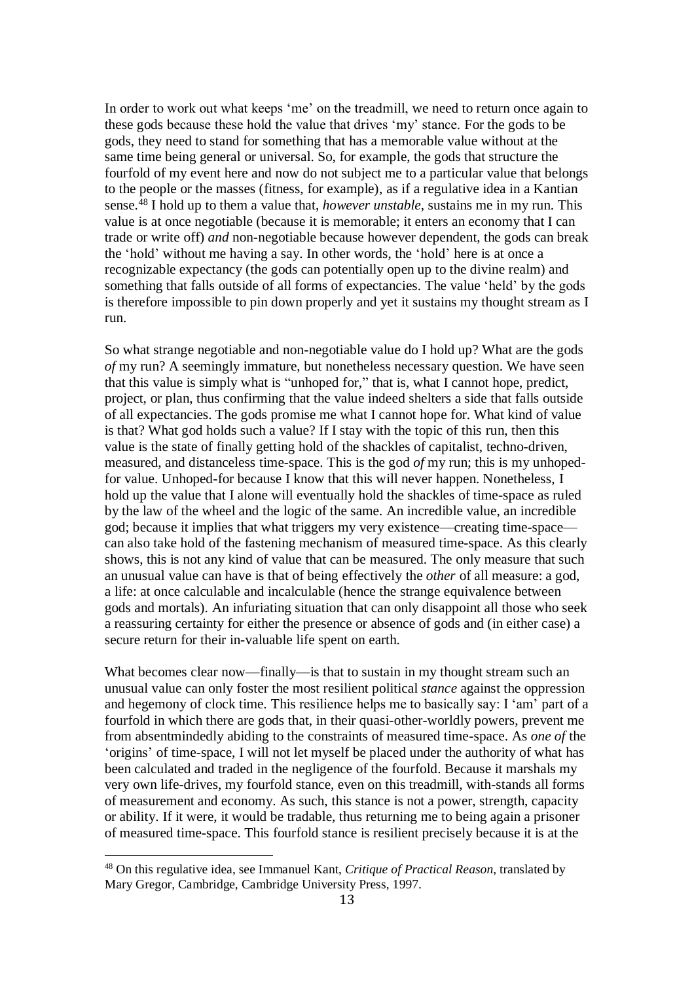In order to work out what keeps 'me' on the treadmill, we need to return once again to these gods because these hold the value that drives 'my' stance. For the gods to be gods, they need to stand for something that has a memorable value without at the same time being general or universal. So, for example, the gods that structure the fourfold of my event here and now do not subject me to a particular value that belongs to the people or the masses (fitness, for example), as if a regulative idea in a Kantian sense.<sup>48</sup> I hold up to them a value that, *however unstable*, sustains me in my run. This value is at once negotiable (because it is memorable; it enters an economy that I can trade or write off) *and* non-negotiable because however dependent, the gods can break the 'hold' without me having a say. In other words, the 'hold' here is at once a recognizable expectancy (the gods can potentially open up to the divine realm) and something that falls outside of all forms of expectancies. The value 'held' by the gods is therefore impossible to pin down properly and yet it sustains my thought stream as I run.

So what strange negotiable and non-negotiable value do I hold up? What are the gods *of* my run? A seemingly immature, but nonetheless necessary question. We have seen that this value is simply what is "unhoped for," that is, what I cannot hope, predict, project, or plan, thus confirming that the value indeed shelters a side that falls outside of all expectancies. The gods promise me what I cannot hope for. What kind of value is that? What god holds such a value? If I stay with the topic of this run, then this value is the state of finally getting hold of the shackles of capitalist, techno-driven, measured, and distanceless time-space. This is the god *of* my run; this is my unhopedfor value. Unhoped-for because I know that this will never happen. Nonetheless, I hold up the value that I alone will eventually hold the shackles of time-space as ruled by the law of the wheel and the logic of the same. An incredible value, an incredible god; because it implies that what triggers my very existence—creating time-space can also take hold of the fastening mechanism of measured time-space. As this clearly shows, this is not any kind of value that can be measured. The only measure that such an unusual value can have is that of being effectively the *other* of all measure: a god, a life: at once calculable and incalculable (hence the strange equivalence between gods and mortals). An infuriating situation that can only disappoint all those who seek a reassuring certainty for either the presence or absence of gods and (in either case) a secure return for their in-valuable life spent on earth.

What becomes clear now—finally—is that to sustain in my thought stream such an unusual value can only foster the most resilient political *stance* against the oppression and hegemony of clock time. This resilience helps me to basically say: I 'am' part of a fourfold in which there are gods that, in their quasi-other-worldly powers, prevent me from absentmindedly abiding to the constraints of measured time-space. As *one of* the 'origins' of time-space, I will not let myself be placed under the authority of what has been calculated and traded in the negligence of the fourfold. Because it marshals my very own life-drives, my fourfold stance, even on this treadmill, with-stands all forms of measurement and economy. As such, this stance is not a power, strength, capacity or ability. If it were, it would be tradable, thus returning me to being again a prisoner of measured time-space. This fourfold stance is resilient precisely because it is at the

l

<sup>48</sup> On this regulative idea, see Immanuel Kant, *Critique of Practical Reason*, translated by Mary Gregor, Cambridge, Cambridge University Press, 1997.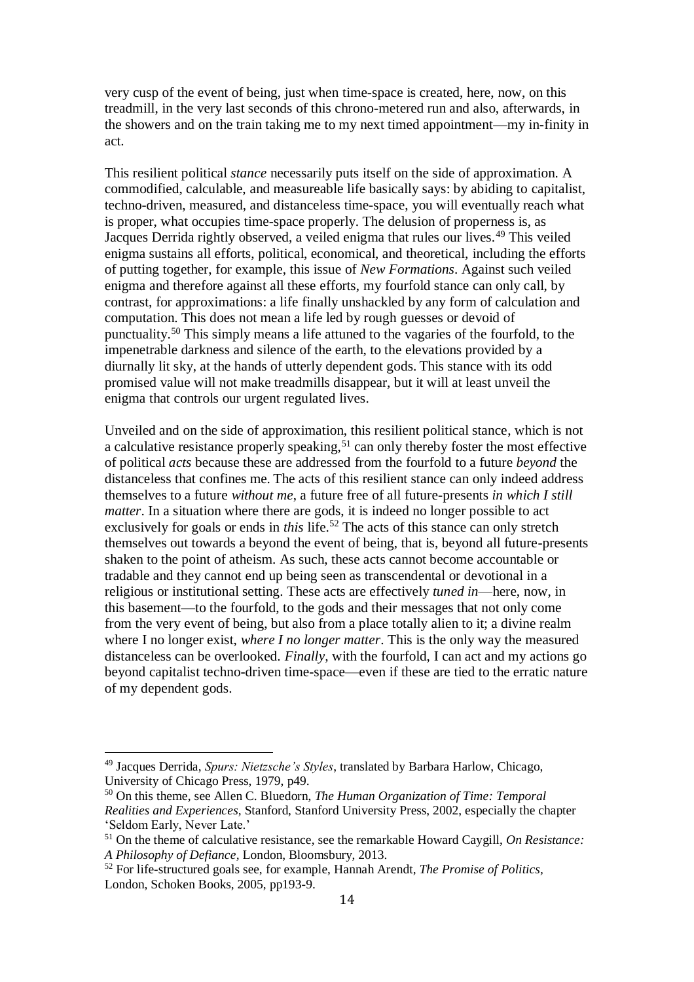very cusp of the event of being, just when time-space is created, here, now, on this treadmill, in the very last seconds of this chrono-metered run and also, afterwards, in the showers and on the train taking me to my next timed appointment—my in-finity in act.

This resilient political *stance* necessarily puts itself on the side of approximation. A commodified, calculable, and measureable life basically says: by abiding to capitalist, techno-driven, measured, and distanceless time-space, you will eventually reach what is proper, what occupies time-space properly. The delusion of properness is, as Jacques Derrida rightly observed, a veiled enigma that rules our lives.<sup>49</sup> This veiled enigma sustains all efforts, political, economical, and theoretical, including the efforts of putting together, for example, this issue of *New Formations*. Against such veiled enigma and therefore against all these efforts, my fourfold stance can only call, by contrast, for approximations: a life finally unshackled by any form of calculation and computation. This does not mean a life led by rough guesses or devoid of punctuality.<sup>50</sup> This simply means a life attuned to the vagaries of the fourfold, to the impenetrable darkness and silence of the earth, to the elevations provided by a diurnally lit sky, at the hands of utterly dependent gods. This stance with its odd promised value will not make treadmills disappear, but it will at least unveil the enigma that controls our urgent regulated lives.

Unveiled and on the side of approximation, this resilient political stance, which is not a calculative resistance properly speaking,<sup>51</sup> can only thereby foster the most effective of political *acts* because these are addressed from the fourfold to a future *beyond* the distanceless that confines me. The acts of this resilient stance can only indeed address themselves to a future *without me*, a future free of all future-presents *in which I still matter*. In a situation where there are gods, it is indeed no longer possible to act exclusively for goals or ends in *this* life.<sup>52</sup> The acts of this stance can only stretch themselves out towards a beyond the event of being, that is, beyond all future-presents shaken to the point of atheism. As such, these acts cannot become accountable or tradable and they cannot end up being seen as transcendental or devotional in a religious or institutional setting. These acts are effectively *tuned in*—here, now, in this basement—to the fourfold, to the gods and their messages that not only come from the very event of being, but also from a place totally alien to it; a divine realm where I no longer exist, *where I no longer matter*. This is the only way the measured distanceless can be overlooked. *Finally,* with the fourfold, I can act and my actions go beyond capitalist techno-driven time-space—even if these are tied to the erratic nature of my dependent gods.

<sup>49</sup> Jacques Derrida, *Spurs: Nietzsche's Styles*, translated by Barbara Harlow, Chicago, University of Chicago Press, 1979, p49.

<sup>50</sup> On this theme, see Allen C. Bluedorn, *The Human Organization of Time: Temporal Realities and Experiences,* Stanford, Stanford University Press, 2002, especially the chapter 'Seldom Early, Never Late.'

<sup>51</sup> On the theme of calculative resistance, see the remarkable Howard Caygill, *On Resistance: A Philosophy of Defiance,* London, Bloomsbury, 2013.

<sup>52</sup> For life-structured goals see, for example, Hannah Arendt, *The Promise of Politics,*  London, Schoken Books, 2005, pp193-9.